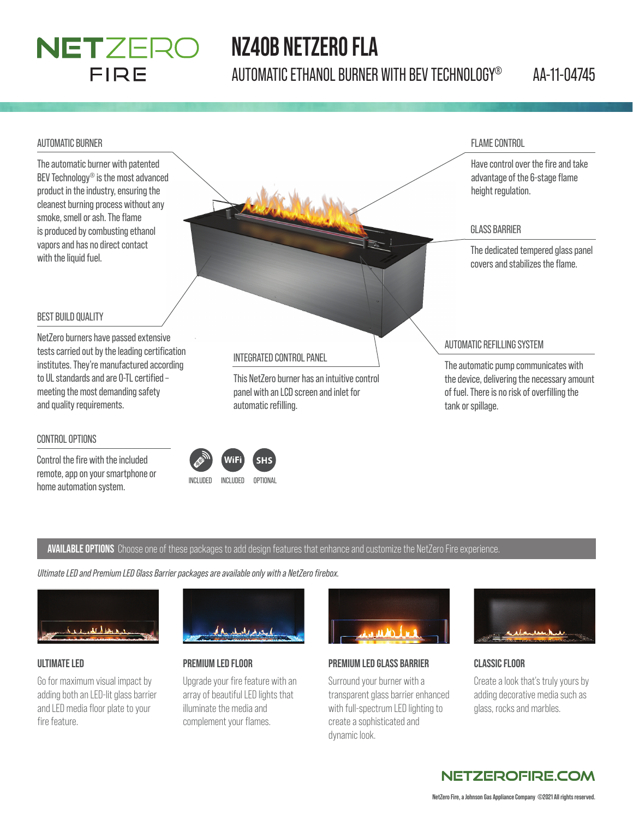

## **NZ40B NETZERO FLA**

AUTOMATIC ETHANOL BURNER WITH BEV TECHNOLOGY® AA-11-04745

#### AUTOMATIC BURNER

The automatic burner with patented BEV Technology® is the most advanced product in the industry, ensuring the cleanest burning process without any smoke, smell or ash. The flame is produced by combusting ethanol vapors and has no direct contact

FLAME CONTROL

Have control over the fire and take advantage of the 6-stage flame height regulation.

#### GLASS BARRIER

The dedicated tempered glass panel covers and stabilizes the flame.

#### BEST BUILD QUALITY

with the liquid fuel.

NetZero burners have passed extensive tests carried out by the leading certification institutes. They're manufactured according to UL standards and are 0-TL certified meeting the most demanding safety and quality requirements.

#### CONTROL OPTIONS

Control the fire with the included remote, app on your smartphone or home automation system.<br>
INCLUDED INCLUDED OPTIONAL

#### INTEGRATED CONTROL PANEL

This NetZero burner has an intuitive control panel with an LCD screen and inlet for automatic refilling.

AUTOMATIC REFILLING SYSTEM

The automatic pump communicates with the device, delivering the necessary amount of fuel. There is no risk of overfilling the tank or spillage.

#### **AVAILABLE OPTIONS** Choose one of these packages to add design features that enhance and customize the NetZero Fire experience.

*Ultimate LED and Premium LED Glass Barrier packages are available only with a NetZero fi rebox.*



#### **ULTIMATE LED**

Go for maximum visual impact by adding both an LED-lit glass barrier and LED media floor plate to your fire feature.



#### **PREMIUM LED FLOOR**

Upgrade your fire feature with an array of beautiful LED lights that illuminate the media and complement your flames.



#### **PREMIUM LED GLASS BARRIER**

Surround your burner with a transparent glass barrier enhanced with full-spectrum LED lighting to create a sophisticated and dynamic look.



#### **CLASSIC FLOOR**

Create a look that's truly yours by adding decorative media such as glass, rocks and marbles.